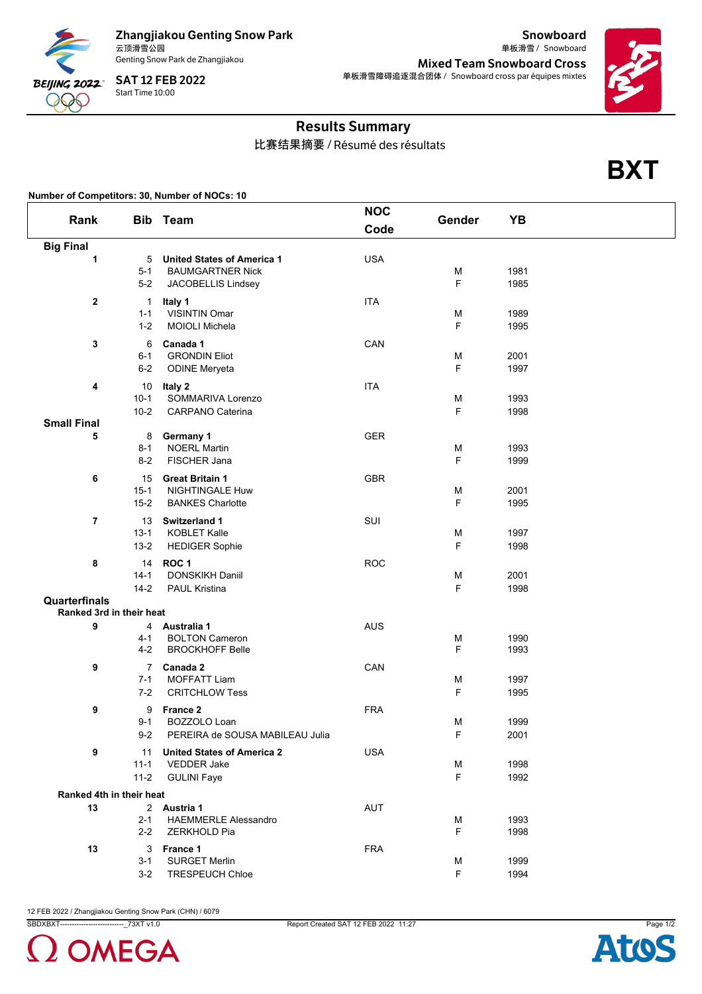

Zhangjiakou Genting Snow Park<br>云顶滑雪公园 Genting Snow Park de Zhangjiakou

云顶滑雪公园 Snowboard 单板滑雪 / Mixed Team Snowboard Cross 单板滑雪障碍追逐混合团体 / Snowboard cross par équipes mixtes



**BXT**

Snowboard

## Results Summary

比赛结果摘要 / Résumé des résultats

## **Number of Competitors: 30, Number of NOCs: 10**

| Rank                     |                                      | <b>Bib</b> Team                                                                    | <b>NOC</b><br>Code | Gender | YB           |  |
|--------------------------|--------------------------------------|------------------------------------------------------------------------------------|--------------------|--------|--------------|--|
|                          |                                      |                                                                                    |                    |        |              |  |
| <b>Big Final</b><br>1    | 5<br>$5 - 1$<br>$5-2$                | <b>United States of America 1</b><br><b>BAUMGARTNER Nick</b><br>JACOBELLIS Lindsey | <b>USA</b>         | М<br>F | 1981<br>1985 |  |
| $\mathbf{2}$             | $\mathbf{1}$<br>$1 - 1$<br>$1 - 2$   | Italy 1<br><b>VISINTIN Omar</b><br><b>MOIOLI Michela</b>                           | <b>ITA</b>         | М<br>F | 1989<br>1995 |  |
| 3                        | 6<br>$6 - 1$<br>$6-2$                | Canada 1<br><b>GRONDIN Eliot</b><br><b>ODINE Meryeta</b>                           | CAN                | М<br>F | 2001<br>1997 |  |
| 4                        | 10<br>$10-1$<br>$10 - 2$             | Italy 2<br>SOMMARIVA Lorenzo<br><b>CARPANO Caterina</b>                            | <b>ITA</b>         | М<br>F | 1993<br>1998 |  |
| <b>Small Final</b>       |                                      |                                                                                    |                    |        |              |  |
| 5                        | 8<br>$8 - 1$<br>$8 - 2$              | Germany 1<br><b>NOERL Martin</b><br>FISCHER Jana                                   | <b>GER</b>         | М<br>F | 1993<br>1999 |  |
| 6                        | 15<br>$15 - 1$<br>$15 - 2$           | <b>Great Britain 1</b><br><b>NIGHTINGALE Huw</b><br><b>BANKES Charlotte</b>        | <b>GBR</b>         | М<br>F | 2001<br>1995 |  |
| $\overline{7}$           | 13<br>$13 - 1$<br>$13 - 2$           | Switzerland 1<br><b>KOBLET Kalle</b><br><b>HEDIGER Sophie</b>                      | SUI                | М<br>F | 1997<br>1998 |  |
| 8                        | 14<br>$14 - 1$<br>$14 - 2$           | ROC <sub>1</sub><br>DONSKIKH Daniil<br><b>PAUL Kristina</b>                        | <b>ROC</b>         | М<br>F | 2001<br>1998 |  |
| Quarterfinals            |                                      |                                                                                    |                    |        |              |  |
| Ranked 3rd in their heat |                                      |                                                                                    |                    |        |              |  |
| 9                        | 4-1<br>$4 - 2$                       | 4 Australia 1<br><b>BOLTON Cameron</b><br><b>BROCKHOFF Belle</b>                   | <b>AUS</b>         | М<br>F | 1990<br>1993 |  |
| 9                        | $\overline{7}$<br>$7 - 1$<br>$7 - 2$ | Canada 2<br><b>MOFFATT Liam</b><br><b>CRITCHLOW Tess</b>                           | CAN                | M<br>F | 1997<br>1995 |  |
| 9                        | 9<br>$9 - 1$<br>$9 - 2$              | France 2<br>BOZZOLO Loan<br>PEREIRA de SOUSA MABILEAU Julia                        | <b>FRA</b>         | М<br>F | 1999<br>2001 |  |
| 9                        | 11<br>$11 - 1$<br>$11 - 2$           | <b>United States of America 2</b><br><b>VEDDER Jake</b><br><b>GULINI Faye</b>      | <b>USA</b>         | М<br>F | 1998<br>1992 |  |
| Ranked 4th in their heat |                                      |                                                                                    |                    |        |              |  |
| 13                       | $2 - 1$<br>$2 - 2$                   | 2 Austria 1<br><b>HAEMMERLE Alessandro</b><br>ZERKHOLD Pia                         | <b>AUT</b>         | М<br>F | 1993<br>1998 |  |
| 13                       | 3<br>$3 - 1$<br>$3 - 2$              | France 1<br><b>SURGET Merlin</b><br><b>TRESPEUCH Chloe</b>                         | <b>FRA</b>         | М<br>F | 1999<br>1994 |  |

12 FEB 2022 / Zhangjiakou Genting Snow Park (CHN) / 6079